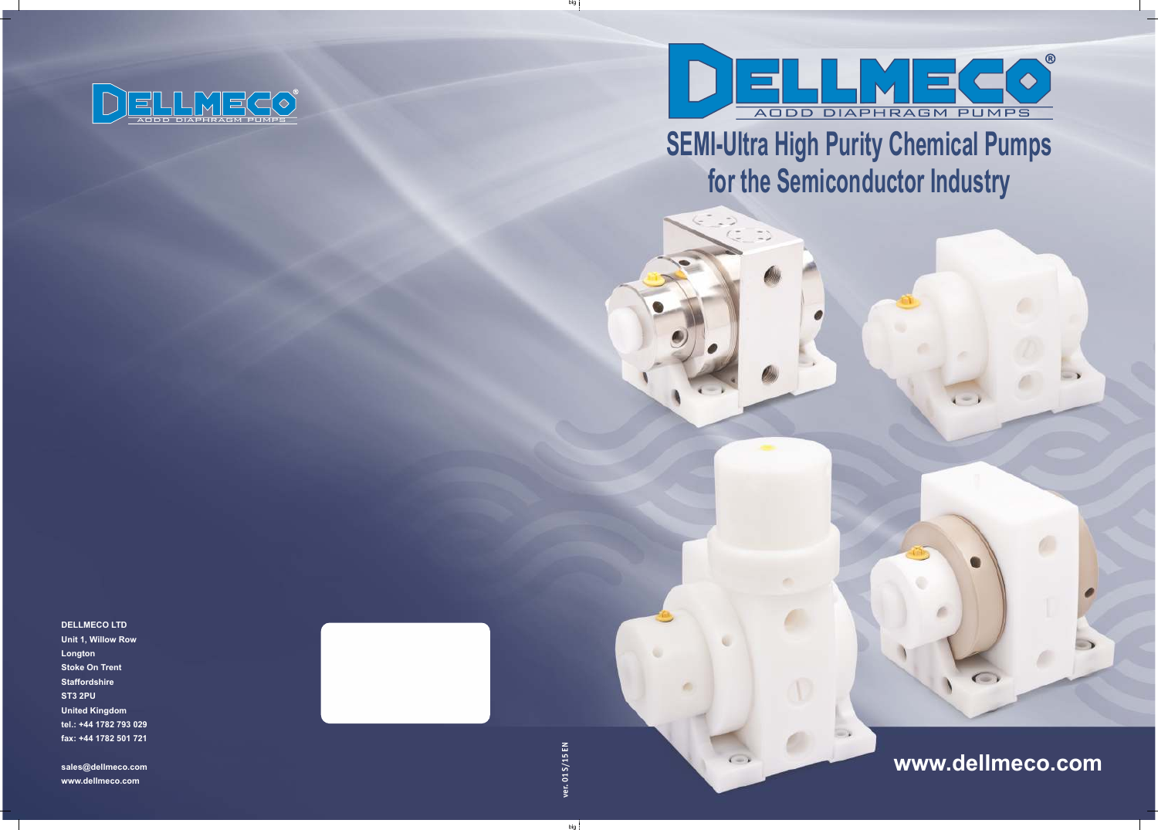

**DELLMECO LTD Unit 1, Willow Row Longton Stoke On Trent Staffordshire ST3 2PU United Kingdom tel.: +44 1782 793 029 fax: +44 1782 501 721**

**sales@dellmeco.com www.dellmeco.com**

**ver.01S/15EN**

big

big

**www.dellmeco.com**



# **SEMI-Ultra High Purity Chemical Pumps for the Semiconductor Industry**